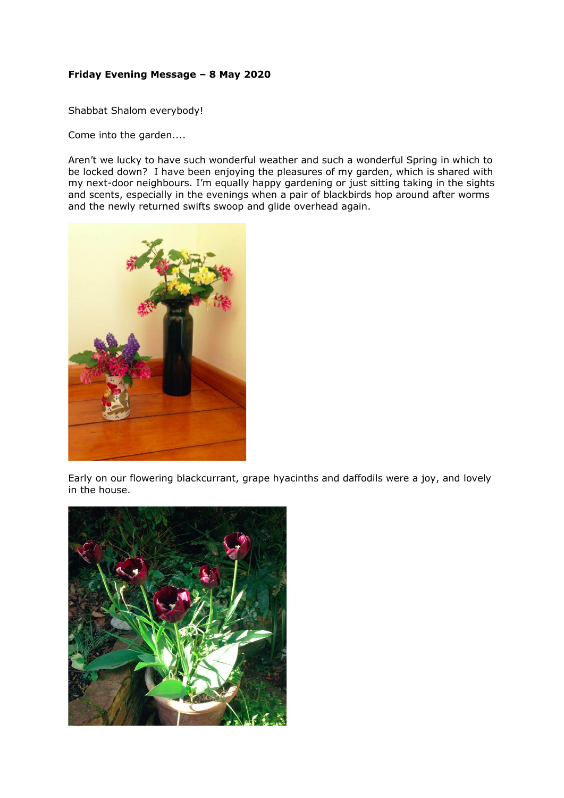## **Friday Evening Message – 8 May 2020**

Shabbat Shalom everybody!

Come into the garden....

Aren't we lucky to have such wonderful weather and such a wonderful Spring in which to be locked down? I have been enjoying the pleasures of my garden, which is shared with my next-door neighbours. I'm equally happy gardening or just sitting taking in the sights and scents, especially in the evenings when a pair of blackbirds hop around after worms and the newly returned swifts swoop and glide overhead again.



Early on our flowering blackcurrant, grape hyacinths and daffodils were a joy, and lovely in the house.

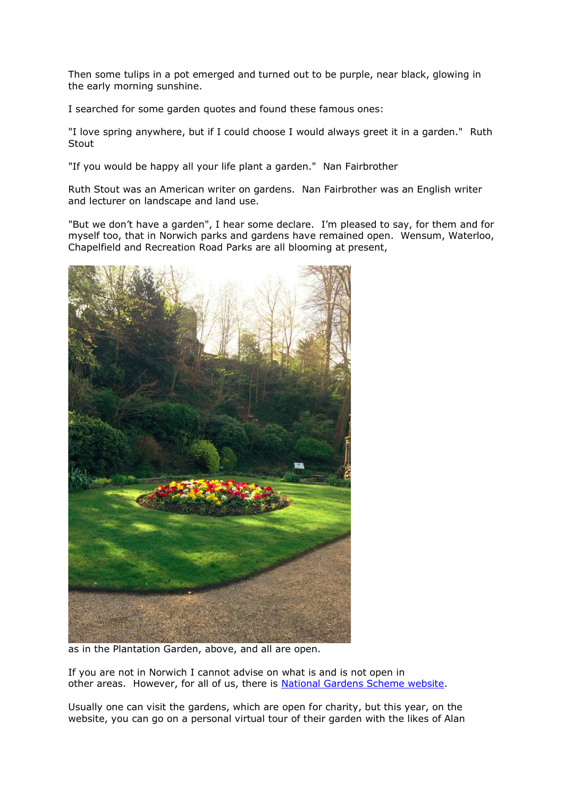Then some tulips in a pot emerged and turned out to be purple, near black, glowing in the early morning sunshine.

I searched for some garden quotes and found these famous ones:

"I love spring anywhere, but if I could choose I would always greet it in a garden." Ruth Stout

"If you would be happy all your life plant a garden." Nan Fairbrother

Ruth Stout was an American writer on gardens. Nan Fairbrother was an English writer and lecturer on landscape and land use.

"But we don't have a garden", I hear some declare. I'm pleased to say, for them and for myself too, that in Norwich parks and gardens have remained open. Wensum, Waterloo, Chapelfield and Recreation Road Parks are all blooming at present,



as in the Plantation Garden, above, and all are open.

If you are not in Norwich I cannot advise on what is and is not open in other areas. However, for all of us, there is [National Gardens Scheme website.](https://ngs.org.uk/)

Usually one can visit the gardens, which are open for charity, but this year, on the website, you can go on a personal virtual tour of their garden with the likes of Alan